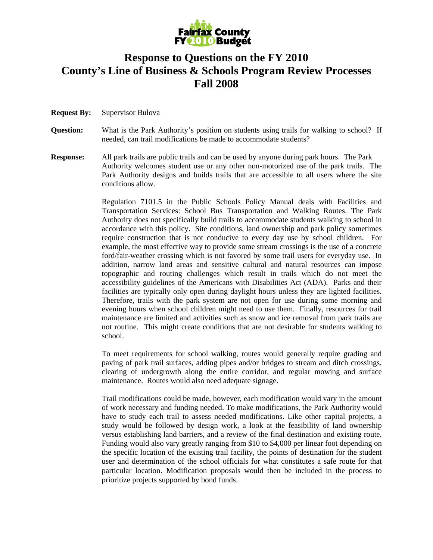

## **Response to Questions on the FY 2010 County's Line of Business & Schools Program Review Processes Fall 2008**

- **Request By:** Supervisor Bulova
- **Question:** What is the Park Authority's position on students using trails for walking to school? If needed, can trail modifications be made to accommodate students?
- **Response:** All park trails are public trails and can be used by anyone during park hours. The Park Authority welcomes student use or any other non-motorized use of the park trails. The Park Authority designs and builds trails that are accessible to all users where the site conditions allow.

 Regulation 7101.5 in the Public Schools Policy Manual deals with Facilities and Transportation Services: School Bus Transportation and Walking Routes. The Park Authority does not specifically build trails to accommodate students walking to school in accordance with this policy. Site conditions, land ownership and park policy sometimes require construction that is not conducive to every day use by school children. For example, the most effective way to provide some stream crossings is the use of a concrete ford/fair-weather crossing which is not favored by some trail users for everyday use. In addition, narrow land areas and sensitive cultural and natural resources can impose topographic and routing challenges which result in trails which do not meet the accessibility guidelines of the Americans with Disabilities Act (ADA). Parks and their facilities are typically only open during daylight hours unless they are lighted facilities. Therefore, trails with the park system are not open for use during some morning and evening hours when school children might need to use them. Finally, resources for trail maintenance are limited and activities such as snow and ice removal from park trails are not routine. This might create conditions that are not desirable for students walking to school.

To meet requirements for school walking, routes would generally require grading and paving of park trail surfaces, adding pipes and/or bridges to stream and ditch crossings, clearing of undergrowth along the entire corridor, and regular mowing and surface maintenance. Routes would also need adequate signage.

Trail modifications could be made, however, each modification would vary in the amount of work necessary and funding needed. To make modifications, the Park Authority would have to study each trail to assess needed modifications. Like other capital projects, a study would be followed by design work, a look at the feasibility of land ownership versus establishing land barriers, and a review of the final destination and existing route. Funding would also vary greatly ranging from \$10 to \$4,000 per linear foot depending on the specific location of the existing trail facility, the points of destination for the student user and determination of the school officials for what constitutes a safe route for that particular location. Modification proposals would then be included in the process to prioritize projects supported by bond funds.